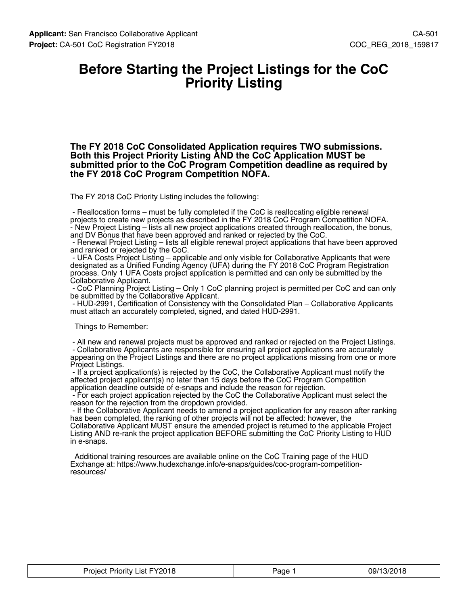### **Before Starting the Project Listings for the CoC Priority Listing**

**The FY 2018 CoC Consolidated Application requires TWO submissions. Both this Project Priority Listing AND the CoC Application MUST be submitted prior to the CoC Program Competition deadline as required by the FY 2018 CoC Program Competition NOFA.**

The FY 2018 CoC Priority Listing includes the following:

 - Reallocation forms – must be fully completed if the CoC is reallocating eligible renewal projects to create new projects as described in the FY 2018 CoC Program Competition NOFA. - New Project Listing – lists all new project applications created through reallocation, the bonus, and DV Bonus that have been approved and ranked or rejected by the CoC.

 - Renewal Project Listing – lists all eligible renewal project applications that have been approved and ranked or rejected by the CoC.

 - UFA Costs Project Listing – applicable and only visible for Collaborative Applicants that were designated as a Unified Funding Agency (UFA) during the FY 2018 CoC Program Registration process. Only 1 UFA Costs project application is permitted and can only be submitted by the Collaborative Applicant.

 - CoC Planning Project Listing – Only 1 CoC planning project is permitted per CoC and can only be submitted by the Collaborative Applicant.

 - HUD-2991, Certification of Consistency with the Consolidated Plan – Collaborative Applicants must attach an accurately completed, signed, and dated HUD-2991.

Things to Remember:

 - All new and renewal projects must be approved and ranked or rejected on the Project Listings. - Collaborative Applicants are responsible for ensuring all project applications are accurately appearing on the Project Listings and there are no project applications missing from one or more Project Listings.

 - If a project application(s) is rejected by the CoC, the Collaborative Applicant must notify the affected project applicant(s) no later than 15 days before the CoC Program Competition application deadline outside of e-snaps and include the reason for rejection.

 - For each project application rejected by the CoC the Collaborative Applicant must select the reason for the rejection from the dropdown provided.

 - If the Collaborative Applicant needs to amend a project application for any reason after ranking has been completed, the ranking of other projects will not be affected: however, the Collaborative Applicant MUST ensure the amended project is returned to the applicable Project Listing AND re-rank the project application BEFORE submitting the CoC Priority Listing to HUD in e-snaps.

 Additional training resources are available online on the CoC Training page of the HUD Exchange at: https://www.hudexchange.info/e-snaps/guides/coc-program-competitionresources/

| <b>Project Priority List FY2018</b> | Page <sup>-</sup> | 09/13/2018 |
|-------------------------------------|-------------------|------------|
|-------------------------------------|-------------------|------------|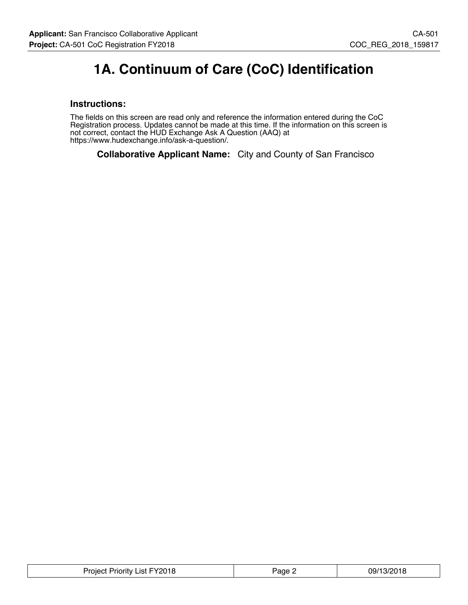# **1A. Continuum of Care (CoC) Identification**

### **Instructions:**

The fields on this screen are read only and reference the information entered during the CoC Registration process. Updates cannot be made at this time. If the information on this screen is not correct, contact the HUD Exchange Ask A Question (AAQ) at https://www.hudexchange.info/ask-a-question/.

**Collaborative Applicant Name:** City and County of San Francisco

| Project Priority List FY2018 | Page 2 | 09/13/2018 |
|------------------------------|--------|------------|
|------------------------------|--------|------------|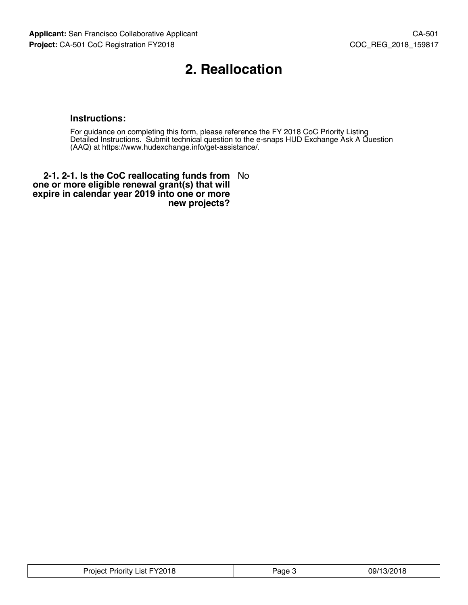# **2. Reallocation**

### **Instructions:**

For guidance on completing this form, please reference the FY 2018 CoC Priority Listing Detailed Instructions. Submit technical question to the e-snaps HUD Exchange Ask A Question (AAQ) at https://www.hudexchange.info/get-assistance/.

**2-1. 2-1. Is the CoC reallocating funds from** No **one or more eligible renewal grant(s) that will expire in calendar year 2019 into one or more new projects?**

| FY2018<br>_ist.<br>Project<br>Priority | aae | 09/13/2018 |
|----------------------------------------|-----|------------|
|----------------------------------------|-----|------------|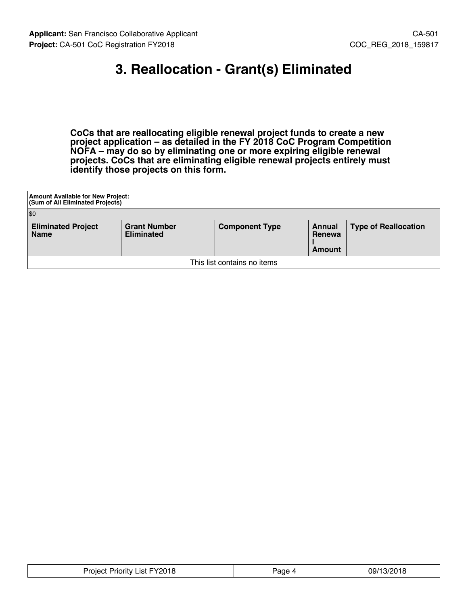# **3. Reallocation - Grant(s) Eliminated**

**CoCs that are reallocating eligible renewal project funds to create a new project application – as detailed in the FY 2018 CoC Program Competition NOFA – may do so by eliminating one or more expiring eligible renewal projects. CoCs that are eliminating eligible renewal projects entirely must identify those projects on this form.**

| <b>Amount Available for New Project:</b><br><b>(Sum of All Eliminated Projects)</b>                                                                                               |  |  |  |  |  |  |
|-----------------------------------------------------------------------------------------------------------------------------------------------------------------------------------|--|--|--|--|--|--|
| \$0                                                                                                                                                                               |  |  |  |  |  |  |
| <b>Eliminated Project</b><br><b>Grant Number</b><br><b>Type of Reallocation</b><br><b>Component Type</b><br>Annual<br><b>Eliminated</b><br><b>Name</b><br>Renewa<br><b>Amount</b> |  |  |  |  |  |  |
| This list contains no items                                                                                                                                                       |  |  |  |  |  |  |

| Project Priority List FY2018 | Page 4 | 09/13/2018 |
|------------------------------|--------|------------|
|------------------------------|--------|------------|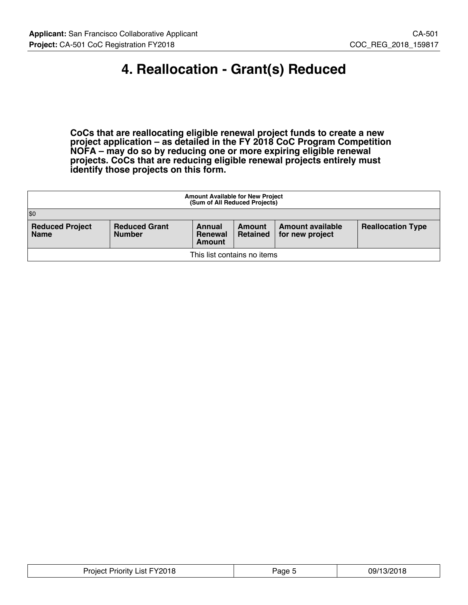# **4. Reallocation - Grant(s) Reduced**

**CoCs that are reallocating eligible renewal project funds to create a new project application – as detailed in the FY 2018 CoC Program Competition NOFA – may do so by reducing one or more expiring eligible renewal projects. CoCs that are reducing eligible renewal projects entirely must identify those projects on this form.**

| <b>Amount Available for New Project</b><br>(Sum of All Reduced Projects)                                                                                                                               |  |  |  |  |  |  |
|--------------------------------------------------------------------------------------------------------------------------------------------------------------------------------------------------------|--|--|--|--|--|--|
| $ $ \$0                                                                                                                                                                                                |  |  |  |  |  |  |
| <b>Reduced Project</b><br><b>Reduced Grant</b><br><b>Reallocation Type</b><br>Amount available<br>Annual<br>Amount<br><b>Number</b><br><b>Name</b><br>Retained<br>for new project<br>Renewal<br>Amount |  |  |  |  |  |  |
| This list contains no items                                                                                                                                                                            |  |  |  |  |  |  |

| List FY2018<br>Priority.<br>חמר<br>.<br>$\sim$ $\sim$ $\sim$ $\sim$ $\sim$ $\sim$<br>______ | 'ane | ۱/ገቦ 1<br>09/1<br>VIL.<br>$\sim$ $\sim$ $\sim$ $\sim$ $\sim$ |
|---------------------------------------------------------------------------------------------|------|--------------------------------------------------------------|
|---------------------------------------------------------------------------------------------|------|--------------------------------------------------------------|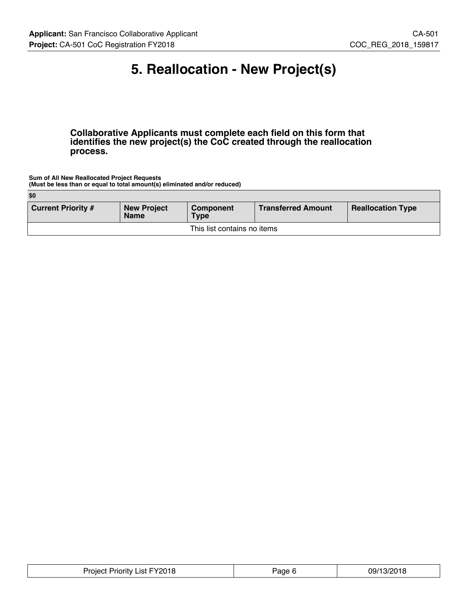# **5. Reallocation - New Project(s)**

**Collaborative Applicants must complete each field on this form that identifies the new project(s) the CoC created through the reallocation process.**

**Sum of All New Reallocated Project Requests (Must be less than or equal to total amount(s) eliminated and/or reduced)**

| \$0                                                                                                                                                 |  |  |  |  |  |  |
|-----------------------------------------------------------------------------------------------------------------------------------------------------|--|--|--|--|--|--|
| <b>Current Priority #</b><br><b>Transferred Amount</b><br><b>New Project</b><br><b>Reallocation Type</b><br>Component<br><b>Name</b><br><b>Type</b> |  |  |  |  |  |  |
| This list contains no items                                                                                                                         |  |  |  |  |  |  |

|  | FY2018<br>.ist<br>Proiect<br>Priority. | $\sim$<br>'яае- | י החור<br>.)9/'<br>$\cdot$ <sup>1</sup><br>1 L |
|--|----------------------------------------|-----------------|------------------------------------------------|
|--|----------------------------------------|-----------------|------------------------------------------------|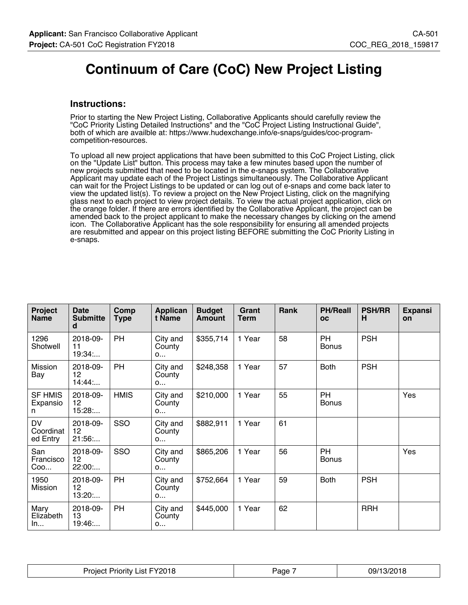# **Continuum of Care (CoC) New Project Listing**

#### **Instructions:**

Prior to starting the New Project Listing, Collaborative Applicants should carefully review the "CoC Priority Listing Detailed Instructions" and the "CoC Project Listing Instructional Guide", both of which are availble at: https://www.hudexchange.info/e-snaps/guides/coc-programcompetition-resources.

To upload all new project applications that have been submitted to this CoC Project Listing, click on the "Update List" button. This process may take a few minutes based upon the number of new projects submitted that need to be located in the e-snaps system. The Collaborative Applicant may update each of the Project Listings simultaneously. The Collaborative Applicant can wait for the Project Listings to be updated or can log out of e-snaps and come back later to view the updated list(s). To review a project on the New Project Listing, click on the magnifying glass next to each project to view project details. To view the actual project application, click on the orange folder. If there are errors identified by the Collaborative Applicant, the project can be amended back to the project applicant to make the necessary changes by clicking on the amend icon. The Collaborative Applicant has the sole responsibility for ensuring all amended projects are resubmitted and appear on this project listing BEFORE submitting the CoC Priority Listing in e-snaps.

| Project<br><b>Name</b>             | <b>Date</b><br><b>Submitte</b><br>d | Comp<br><b>Type</b> | <b>Applican</b><br>t Name         | <b>Budget</b><br><b>Amount</b> | Grant<br><b>Term</b> | Rank | <b>PH/Reall</b><br><b>OC</b> | <b>PSH/RR</b><br>н | <b>Expansi</b><br>on |
|------------------------------------|-------------------------------------|---------------------|-----------------------------------|--------------------------------|----------------------|------|------------------------------|--------------------|----------------------|
| 1296<br>Shotwell                   | 2018-09-<br>11<br>19:34:            | <b>PH</b>           | City and<br>County<br>0           | \$355,714                      | 1 Year               | 58   | <b>PH</b><br><b>Bonus</b>    | <b>PSH</b>         |                      |
| Mission<br>Bay                     | 2018-09-<br>12<br>14:44             | PH                  | City and<br>County<br>O           | \$248,358                      | 1 Year               | 57   | <b>Both</b>                  | <b>PSH</b>         |                      |
| <b>SF HMIS</b><br>Expansio<br>n    | 2018-09-<br>12<br>15:28             | <b>HMIS</b>         | City and<br>County<br>O           | \$210,000                      | 1 Year               | 55   | <b>PH</b><br><b>Bonus</b>    |                    | Yes                  |
| <b>DV</b><br>Coordinat<br>ed Entry | 2018-09-<br>12<br>21:56             | SSO                 | City and<br>County<br>$O_{\dots}$ | \$882,911                      | 1 Year               | 61   |                              |                    |                      |
| San<br>Francisco<br>Coo            | 2018-09-<br>12<br>22:00:            | SSO                 | City and<br>County<br>0           | \$865,206                      | 1 Year               | 56   | <b>PH</b><br><b>Bonus</b>    |                    | Yes                  |
| 1950<br>Mission                    | 2018-09-<br>12<br>13:20             | PH                  | City and<br>County<br>0           | \$752,664                      | 1 Year               | 59   | <b>Both</b>                  | <b>PSH</b>         |                      |
| Mary<br>Elizabeth<br>In            | 2018-09-<br>13<br>19:46             | PH                  | City and<br>County<br>0           | \$445,000                      | 1 Year               | 62   |                              | <b>RRH</b>         |                      |

| Project Priority List FY2018 | Page | 09/13/2018 |
|------------------------------|------|------------|
|------------------------------|------|------------|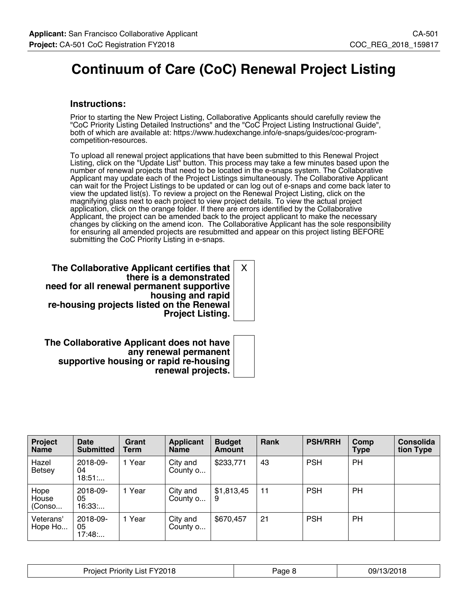# **Continuum of Care (CoC) Renewal Project Listing**

### **Instructions:**

Prior to starting the New Project Listing, Collaborative Applicants should carefully review the "CoC Priority Listing Detailed Instructions" and the "CoC Project Listing Instructional Guide", both of which are available at: https://www.hudexchange.info/e-snaps/guides/coc-programcompetition-resources.

To upload all renewal project applications that have been submitted to this Renewal Project Listing, click on the "Update List" button. This process may take a few minutes based upon the number of renewal projects that need to be located in the e-snaps system. The Collaborative Applicant may update each of the Project Listings simultaneously. The Collaborative Applicant can wait for the Project Listings to be updated or can log out of e-snaps and come back later to view the updated list(s). To review a project on the Renewal Project Listing, click on the magnifying glass next to each project to view project details. To view the actual project application, click on the orange folder. If there are errors identified by the Collaborative Applicant, the project can be amended back to the project applicant to make the necessary changes by clicking on the amend icon. The Collaborative Applicant has the sole responsibility for ensuring all amended projects are resubmitted and appear on this project listing BEFORE submitting the CoC Priority Listing in e-snaps.

**The Collaborative Applicant certifies that there is a demonstrated need for all renewal permanent supportive housing and rapid re-housing projects listed on the Renewal Project Listing.** X

**The Collaborative Applicant does not have any renewal permanent supportive housing or rapid re-housing renewal projects.**

| Project<br><b>Name</b>  | <b>Date</b><br><b>Submitted</b> | Grant<br>Term | <b>Applicant</b><br><b>Name</b> | <b>Budget</b><br>Amount | Rank | <b>PSH/RRH</b> | Comp<br>Type | <b>Consolida</b><br>tion Type |
|-------------------------|---------------------------------|---------------|---------------------------------|-------------------------|------|----------------|--------------|-------------------------------|
| Hazel<br><b>Betsey</b>  | 2018-09-<br>04<br>18:51         | 1 Year        | City and<br>County o            | \$233,771               | 43   | <b>PSH</b>     | PH           |                               |
| Hope<br>House<br>(Conso | 2018-09-<br>05<br>16:33         | 1 Year        | City and<br>County o            | \$1,813,45<br>9         | 11   | <b>PSH</b>     | PH           |                               |
| Veterans'<br>Hope Ho    | 2018-09-<br>05<br>17:48         | 1 Year        | City and<br>County o            | \$670,457               | 21   | <b>PSH</b>     | PH           |                               |

| FY2018<br>مہرب<br>$\sim$<br>'riority<br>oleci<br>பவ | age<br>. . | 10010<br>na/1<br>$\cdot$ )<br>טו ש<br>w |
|-----------------------------------------------------|------------|-----------------------------------------|
|-----------------------------------------------------|------------|-----------------------------------------|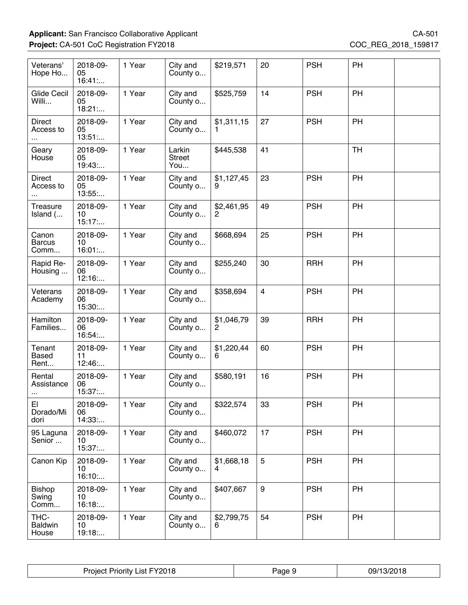| Veterans'<br>Hope Ho             | 2018-09-<br>05<br>16:41  | 1 Year | City and<br>County o           | \$219,571       | 20             | <b>PSH</b> | PH        |  |
|----------------------------------|--------------------------|--------|--------------------------------|-----------------|----------------|------------|-----------|--|
| <b>Glide Cecil</b><br>Willi      | 2018-09-<br>05<br>18:21: | 1 Year | City and<br>County o           | \$525,759       | 14             | <b>PSH</b> | PH        |  |
| Direct<br>Access to              | 2018-09-<br>05<br>13:51  | 1 Year | City and<br>County o           | \$1,311,15      | 27             | <b>PSH</b> | PH        |  |
| Geary<br>House                   | 2018-09-<br>05<br>19:43  | 1 Year | Larkin<br><b>Street</b><br>You | \$445,538       | 41             |            | <b>TH</b> |  |
| Direct<br>Access to              | 2018-09-<br>05<br>13:55  | 1 Year | City and<br>County o           | \$1,127,45<br>9 | 23             | <b>PSH</b> | PH        |  |
| Treasure<br>Island (             | 2018-09-<br>10<br>15:17  | 1 Year | City and<br>County o           | \$2,461,95      | 49             | <b>PSH</b> | PH        |  |
| Canon<br><b>Barcus</b><br>Comm   | 2018-09-<br>10<br>16:01: | 1 Year | City and<br>County o           | \$668,694       | 25             | <b>PSH</b> | PH        |  |
| Rapid Re-<br>Housing             | 2018-09-<br>06<br>12:16  | 1 Year | City and<br>County o           | \$255,240       | 30             | <b>RRH</b> | PH        |  |
| Veterans<br>Academy              | 2018-09-<br>06<br>15:30: | 1 Year | City and<br>County o           | \$358,694       | $\overline{4}$ | <b>PSH</b> | PH        |  |
| Hamilton<br>Families             | 2018-09-<br>06<br>16:54  | 1 Year | City and<br>County o           | \$1,046,79<br>2 | 39             | <b>RRH</b> | PH        |  |
| Tenant<br><b>Based</b><br>Rent   | 2018-09-<br>11<br>12:46  | 1 Year | City and<br>County o           | \$1,220,44<br>6 | 60             | <b>PSH</b> | PH        |  |
| Rental<br>Assistance<br>$\cdots$ | 2018-09-<br>06<br>15:37: | 1 Year | City and<br>County o           | \$580,191       | 16             | <b>PSH</b> | PH        |  |
| EI<br>Dorado/Mi<br>dori          | 2018-09-<br>06<br>14:33: | 1 Year | City and<br>County o           | \$322,574       | 33             | <b>PSH</b> | PH        |  |
| 95 Laguna<br>Senior              | 2018-09-<br>10<br>15:37: | 1 Year | City and<br>County o           | \$460,072       | 17             | <b>PSH</b> | <b>PH</b> |  |
| Canon Kip                        | 2018-09-<br>10<br>16:10: | 1 Year | City and<br>County o           | \$1,668,18      | 5              | <b>PSH</b> | PH        |  |
| <b>Bishop</b><br>Swing<br>Comm   | 2018-09-<br>10<br>16:18  | 1 Year | City and<br>County o           | \$407,667       | 9              | <b>PSH</b> | PH        |  |
| THC-<br><b>Baldwin</b><br>House  | 2018-09-<br>10<br>19:18: | 1 Year | City and<br>County o           | \$2,799,75<br>6 | 54             | <b>PSH</b> | PH        |  |

| <sup>=</sup> Y2018<br>Proiect<br>.ist<br>Priority | 'age | 0.001c<br>09/7<br>1.317<br>ט ו ט |
|---------------------------------------------------|------|----------------------------------|
|---------------------------------------------------|------|----------------------------------|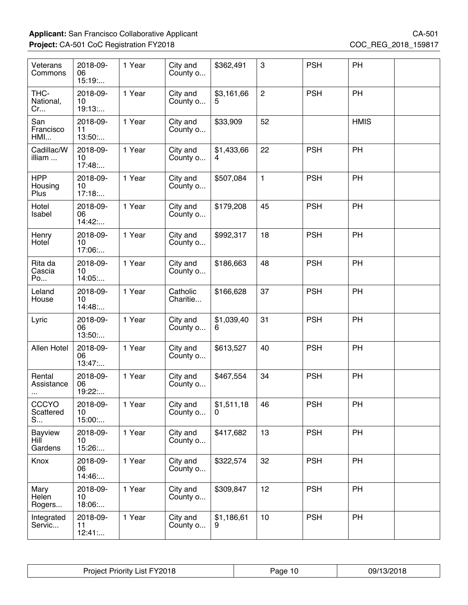| Veterans<br>Commons               | 2018-09-<br>06<br>15:19  | 1 Year | City and<br>County o | \$362,491       | 3              | <b>PSH</b> | PH          |  |
|-----------------------------------|--------------------------|--------|----------------------|-----------------|----------------|------------|-------------|--|
| THC-<br>National,<br>Cr           | 2018-09-<br>10<br>19:13: | 1 Year | City and<br>County o | \$3,161,66      | $\overline{c}$ | <b>PSH</b> | PH          |  |
| San<br>Francisco<br>HMI           | 2018-09-<br>11<br>13:50  | 1 Year | City and<br>County o | \$33,909        | 52             |            | <b>HMIS</b> |  |
| Cadillac/W<br>illiam              | 2018-09-<br>10<br>17:48  | 1 Year | City and<br>County o | \$1,433,66      | 22             | <b>PSH</b> | PH          |  |
| <b>HPP</b><br>Housing<br>Plus     | 2018-09-<br>10<br>17:18  | 1 Year | City and<br>County o | \$507,084       | $\mathbf{1}$   | <b>PSH</b> | PH          |  |
| Hotel<br>Isabel                   | 2018-09-<br>06<br>14:42: | 1 Year | City and<br>County o | \$179,208       | 45             | <b>PSH</b> | PH          |  |
| Henry<br>Hotel                    | 2018-09-<br>10<br>17:06: | 1 Year | City and<br>County o | \$992,317       | 18             | <b>PSH</b> | PH          |  |
| Rita da<br>Cascia<br>Po           | 2018-09-<br>10<br>14:05: | 1 Year | City and<br>County o | \$186,663       | 48             | <b>PSH</b> | PH          |  |
| Leland<br>House                   | 2018-09-<br>10<br>14:48  | 1 Year | Catholic<br>Charitie | \$166,628       | 37             | <b>PSH</b> | PH          |  |
| Lyric                             | 2018-09-<br>06<br>13:50  | 1 Year | City and<br>County o | \$1,039,40<br>6 | 31             | <b>PSH</b> | PH          |  |
| Allen Hotel                       | 2018-09-<br>06<br>13:47: | 1 Year | City and<br>County o | \$613,527       | 40             | <b>PSH</b> | PH          |  |
| Rental<br>Assistance              | 2018-09-<br>06<br>19:22: | 1 Year | City and<br>County o | \$467,554       | 34             | <b>PSH</b> | PH          |  |
| CCCYO<br>Scattered<br>S           | 2018-09-<br>10<br>15:00: | 1 Year | City and<br>County o | \$1,511,18<br>0 | 46             | <b>PSH</b> | PH          |  |
| <b>Bayview</b><br>Hill<br>Gardens | 2018-09-<br>10<br>15:26: | 1 Year | City and<br>County o | \$417,682       | 13             | <b>PSH</b> | PH          |  |
| Knox                              | 2018-09-<br>06<br>14:46  | 1 Year | City and<br>County o | \$322,574       | 32             | <b>PSH</b> | <b>PH</b>   |  |
| Mary<br>Helen<br>Rogers           | 2018-09-<br>10<br>18:06: | 1 Year | City and<br>County o | \$309,847       | 12             | <b>PSH</b> | PH          |  |
| Integrated<br>Servic              | 2018-09-<br>11<br>12:41  | 1 Year | City and<br>County o | \$1,186,61      | 10             | <b>PSH</b> | PH          |  |

| FY2018<br>Proiect<br>_ist<br>Priority. | 'age | 0.0010<br>-09/<br>2 U LO<br>$\sqrt{ }$ |
|----------------------------------------|------|----------------------------------------|
|----------------------------------------|------|----------------------------------------|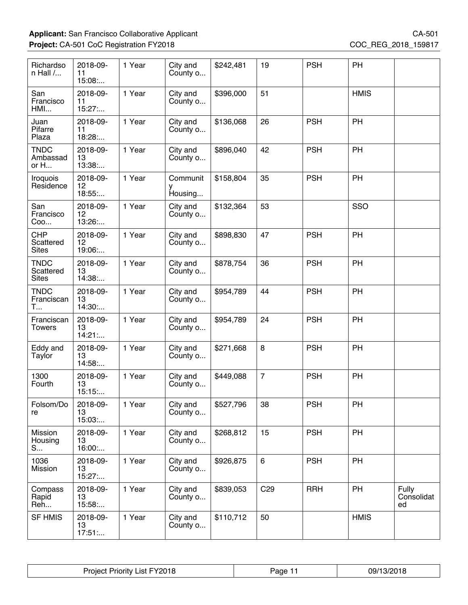| Richardso<br>$n$ Hall $/$                | 2018-09-<br>11<br>15:08: | 1 Year | City and<br>County o | \$242,481 | 19              | <b>PSH</b> | PH          |                           |
|------------------------------------------|--------------------------|--------|----------------------|-----------|-----------------|------------|-------------|---------------------------|
| San<br>Francisco<br>HMI                  | 2018-09-<br>11<br>15:27  | 1 Year | City and<br>County o | \$396,000 | 51              |            | <b>HMIS</b> |                           |
| Juan<br>Pifarre<br>Plaza                 | 2018-09-<br>11<br>18:28  | 1 Year | City and<br>County o | \$136,068 | 26              | <b>PSH</b> | PH          |                           |
| <b>TNDC</b><br>Ambassad<br>or H          | 2018-09-<br>13<br>13:38: | 1 Year | City and<br>County o | \$896,040 | 42              | <b>PSH</b> | PH          |                           |
| <b>Iroquois</b><br>Residence             | 2018-09-<br>12<br>18:55: | 1 Year | Communit<br>Housing  | \$158,804 | 35              | <b>PSH</b> | PH          |                           |
| San<br>Francisco<br>Coo                  | 2018-09-<br>12<br>13:26: | 1 Year | City and<br>County o | \$132,364 | 53              |            | SSO         |                           |
| <b>CHP</b><br>Scattered<br><b>Sites</b>  | 2018-09-<br>12<br>19:06: | 1 Year | City and<br>County o | \$898,830 | 47              | <b>PSH</b> | PH          |                           |
| <b>TNDC</b><br>Scattered<br><b>Sites</b> | 2018-09-<br>13<br>14:38: | 1 Year | City and<br>County o | \$878,754 | 36              | <b>PSH</b> | PH          |                           |
| <b>TNDC</b><br>Franciscan<br>T           | 2018-09-<br>13<br>14:30: | 1 Year | City and<br>County o | \$954,789 | 44              | <b>PSH</b> | PH          |                           |
| Franciscan<br><b>Towers</b>              | 2018-09-<br>13<br>14:21  | 1 Year | City and<br>County o | \$954,789 | 24              | <b>PSH</b> | PH          |                           |
| Eddy and<br>Taylor                       | 2018-09-<br>13<br>14:58: | 1 Year | City and<br>County o | \$271,668 | 8               | <b>PSH</b> | PH          |                           |
| 1300<br>Fourth                           | 2018-09-<br>13<br>15:15  | 1 Year | City and<br>County o | \$449,088 | $\overline{7}$  | <b>PSH</b> | PH          |                           |
| Folsom/Do<br>re                          | 2018-09-<br>13<br>15:03: | 1 Year | City and<br>County o | \$527,796 | 38              | <b>PSH</b> | PH          |                           |
| Mission<br>Housing<br>S                  | 2018-09-<br>13<br>16:00  | 1 Year | City and<br>County o | \$268,812 | 15              | <b>PSH</b> | PH          |                           |
| 1036<br>Mission                          | 2018-09-<br>13<br>15:27  | 1 Year | City and<br>County o | \$926,875 | $6\phantom{1}$  | <b>PSH</b> | PH          |                           |
| Compass<br>Rapid<br>Reh                  | 2018-09-<br>13<br>15:58: | 1 Year | City and<br>County o | \$839,053 | C <sub>29</sub> | <b>RRH</b> | PH          | Fully<br>Consolidat<br>ed |
| <b>SF HMIS</b>                           | 2018-09-<br>13<br>17:51  | 1 Year | City and<br>County o | \$110,712 | 50              |            | <b>HMIS</b> |                           |

| FY2018<br><b>Project Priority</b><br>List I<br>$- - -$ | 'age | 10010<br>797<br>.u 10<br>$\cdot$ $\cdot$ |
|--------------------------------------------------------|------|------------------------------------------|
|--------------------------------------------------------|------|------------------------------------------|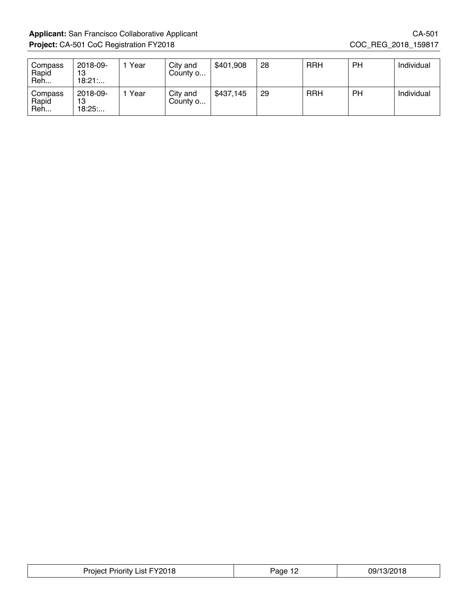Applicant: San Francisco Collaborative Applicant CA-501 **Project:** CA-501 CoC Registration FY2018 COC\_REG\_2018\_159817

| Compass<br>Rapid<br>Reh | 2018-09-<br>13<br>18:21 | Year | City and<br>County o | \$401,908 | 28 | <b>RRH</b> | PH | Individual |
|-------------------------|-------------------------|------|----------------------|-----------|----|------------|----|------------|
| Compass<br>Rapid<br>Reh | 2018-09-<br>13<br>18:25 | Year | City and<br>County o | \$437,145 | 29 | <b>RRH</b> | PH | Individual |

| V0010<br>Project<br>∟ıst ∶<br>ποπτν<br>≤∪ I O | Page <sup>-</sup><br>. <u>.</u> | 1001C<br>09/1 |
|-----------------------------------------------|---------------------------------|---------------|
|-----------------------------------------------|---------------------------------|---------------|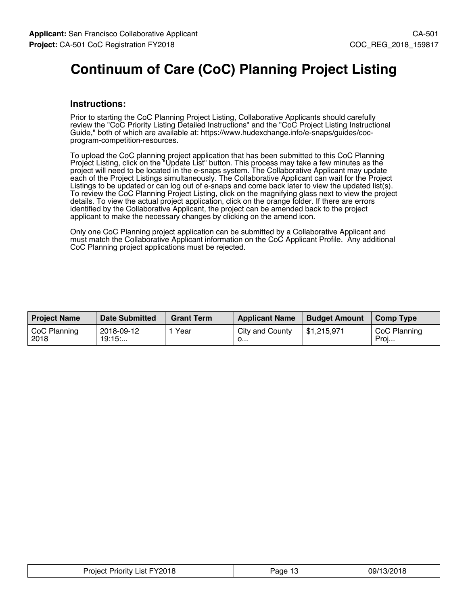# **Continuum of Care (CoC) Planning Project Listing**

### **Instructions:**

Prior to starting the CoC Planning Project Listing, Collaborative Applicants should carefully review the "CoC Priority Listing Detailed Instructions" and the "CoC Project Listing Instructional Guide," both of which are available at: https://www.hudexchange.info/e-snaps/guides/cocprogram-competition-resources.

To upload the CoC planning project application that has been submitted to this CoC Planning Project Listing, click on the "Update List" button. This process may take a few minutes as the project will need to be located in the e-snaps system. The Collaborative Applicant may update each of the Project Listings simultaneously. The Collaborative Applicant can wait for the Project Listings to be updated or can log out of e-snaps and come back later to view the updated list(s). To review the CoC Planning Project Listing, click on the magnifying glass next to view the project details. To view the actual project application, click on the orange folder. If there are errors identified by the Collaborative Applicant, the project can be amended back to the project applicant to make the necessary changes by clicking on the amend icon.

Only one CoC Planning project application can be submitted by a Collaborative Applicant and must match the Collaborative Applicant information on the CoC Applicant Profile. Any additional CoC Planning project applications must be rejected.

| <b>Project Name</b>  | <b>Date Submitted</b> | <b>Grant Term</b> | <b>Applicant Name</b> | <b>Budget Amount</b> | Comp Type            |
|----------------------|-----------------------|-------------------|-----------------------|----------------------|----------------------|
| CoC Planning<br>2018 | 2018-09-12<br>19:15   | Year              | City and County<br>◡… | \$1.215.971          | CoC Planning<br>Proj |

| Project Priority List FY2018 | Page 1? | 09/13/2018 |
|------------------------------|---------|------------|
|------------------------------|---------|------------|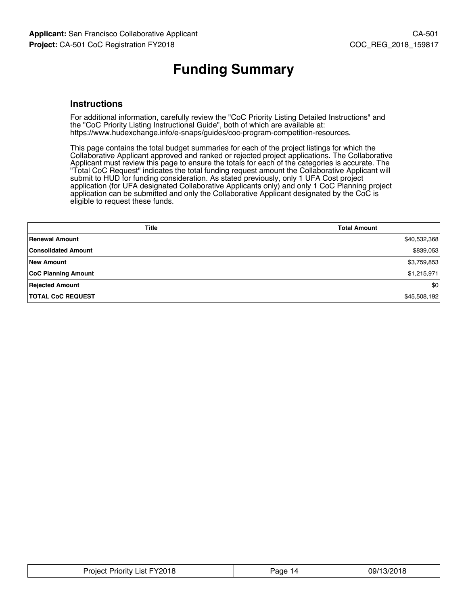# **Funding Summary**

### **Instructions**

For additional information, carefully review the "CoC Priority Listing Detailed Instructions" and the "CoC Priority Listing Instructional Guide", both of which are available at: https://www.hudexchange.info/e-snaps/guides/coc-program-competition-resources.

This page contains the total budget summaries for each of the project listings for which the Collaborative Applicant approved and ranked or rejected project applications. The Collaborative Applicant must review this page to ensure the totals for each of the categories is accurate. The "Total CoC Request" indicates the total funding request amount the Collaborative Applicant will submit to HUD for funding consideration. As stated previously, only 1 UFA Cost project application (for UFA designated Collaborative Applicants only) and only 1 CoC Planning project application can be submitted and only the Collaborative Applicant designated by the CoC is eligible to request these funds.

| <b>Title</b>               | <b>Total Amount</b> |
|----------------------------|---------------------|
| <b>Renewal Amount</b>      | \$40,532,368        |
| <b>Consolidated Amount</b> | \$839,053           |
| <b>New Amount</b>          | \$3,759,853         |
| <b>CoC Planning Amount</b> | \$1,215,971         |
| <b>Rejected Amount</b>     | \$0                 |
| <b>TOTAL CoC REQUEST</b>   | \$45,508,192        |

| Priority List FY2018<br>Proiect | age <sup>,</sup><br>14 | 42/2010<br>09/1<br>UIO<br>$\cdot$ )/ $\prime$ |
|---------------------------------|------------------------|-----------------------------------------------|
|                                 |                        |                                               |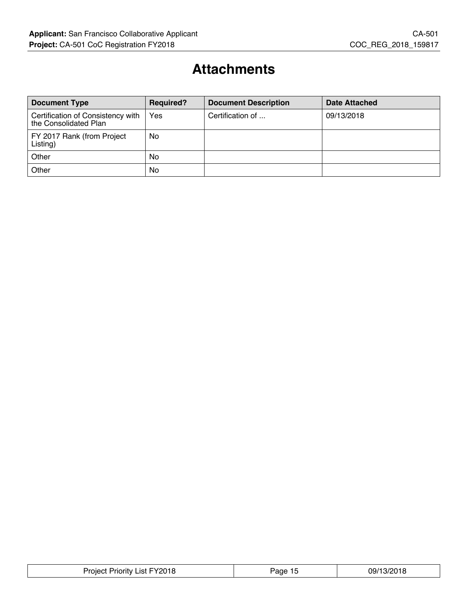# **Attachments**

| <b>Document Type</b>                                       | <b>Required?</b> | <b>Document Description</b> | <b>Date Attached</b> |
|------------------------------------------------------------|------------------|-----------------------------|----------------------|
| Certification of Consistency with<br>the Consolidated Plan | Yes              | Certification of            | 09/13/2018           |
| FY 2017 Rank (from Project<br>Listing)                     | No               |                             |                      |
| Other                                                      | <b>No</b>        |                             |                      |
| Other                                                      | No               |                             |                      |

| <b>Project Priority List FY2018</b> | aqe<br>. . | 09/13/2018 |
|-------------------------------------|------------|------------|
|-------------------------------------|------------|------------|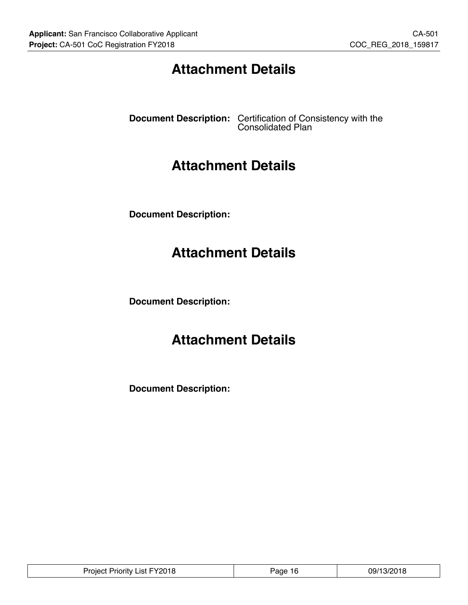# **Attachment Details**

**Document Description:** Certification of Consistency with the Consolidated Plan

# **Attachment Details**

**Document Description:**

# **Attachment Details**

**Document Description:**

# **Attachment Details**

**Document Description:**

| Project Priority List FY2018 | Paqe 16 | 09/13/2018 |
|------------------------------|---------|------------|
|------------------------------|---------|------------|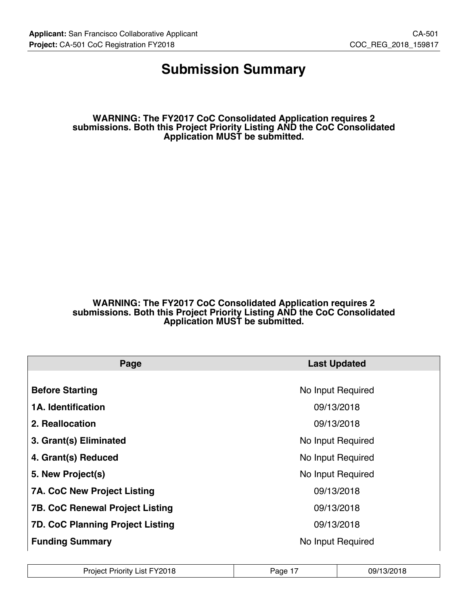### **Submission Summary**

**WARNING: The FY2017 CoC Consolidated Application requires 2 submissions. Both this Project Priority Listing AND the CoC Consolidated Application MUST be submitted.**

#### **WARNING: The FY2017 CoC Consolidated Application requires 2 submissions. Both this Project Priority Listing AND the CoC Consolidated Application MUST be submitted.**

| Page                                    | <b>Last Updated</b> |
|-----------------------------------------|---------------------|
|                                         |                     |
| <b>Before Starting</b>                  | No Input Required   |
| <b>1A. Identification</b>               | 09/13/2018          |
| 2. Reallocation                         | 09/13/2018          |
| 3. Grant(s) Eliminated                  | No Input Required   |
| 4. Grant(s) Reduced                     | No Input Required   |
| 5. New Project(s)                       | No Input Required   |
| <b>7A. CoC New Project Listing</b>      | 09/13/2018          |
| <b>7B. CoC Renewal Project Listing</b>  | 09/13/2018          |
| <b>7D. CoC Planning Project Listing</b> | 09/13/2018          |
| <b>Funding Summary</b>                  | No Input Required   |

| <b>Project Priority List FY2018</b> | Page 1 | 09/13/2018 |
|-------------------------------------|--------|------------|
|-------------------------------------|--------|------------|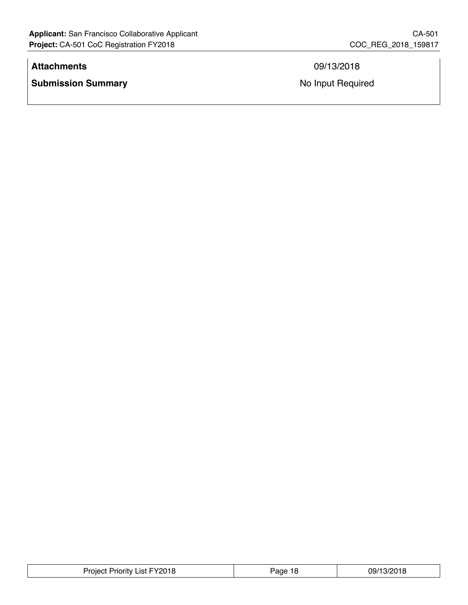### **Attachments** 09/13/2018

**Submission Summary No Input Required No Input Required** 

| Priority List FY2018 | Page | 09/13/201 |
|----------------------|------|-----------|
| Project '            | 10   | ם ו       |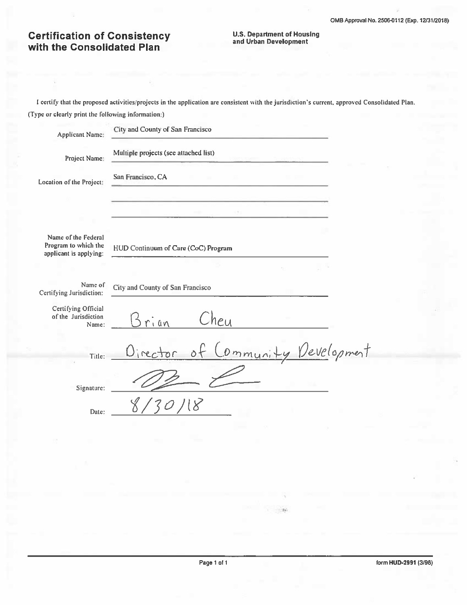# **Certification of Consistency**<br>with the Consolidated Plan

# **U.S. Department of Housing<br>and Urban Development**

I certify that the proposed activities/projects in the application are consistent with the jurisdiction's current, approved Consolidated Plan. (Type or clearly print the following information:)

| <b>Applicant Name:</b>                                                | City and County of San Francisco        |
|-----------------------------------------------------------------------|-----------------------------------------|
| Project Name:                                                         | Multiple projects (see attached list)   |
| Location of the Project:                                              | San Francisco, CA                       |
|                                                                       |                                         |
| Name of the Federal<br>Program to which the<br>applicant is applying: | HUD Continuum of Care (CoC) Program     |
|                                                                       |                                         |
| Name of<br>Certifying Jurisdiction:                                   | City and County of San Francisco        |
| Certifying Official<br>of the Jurisdiction<br>Name:                   | Cheu<br>rian                            |
| Title:                                                                | Community Development<br>Director<br>٥ŀ |
| Signature:                                                            |                                         |
| Date:                                                                 |                                         |

 $\sim 10$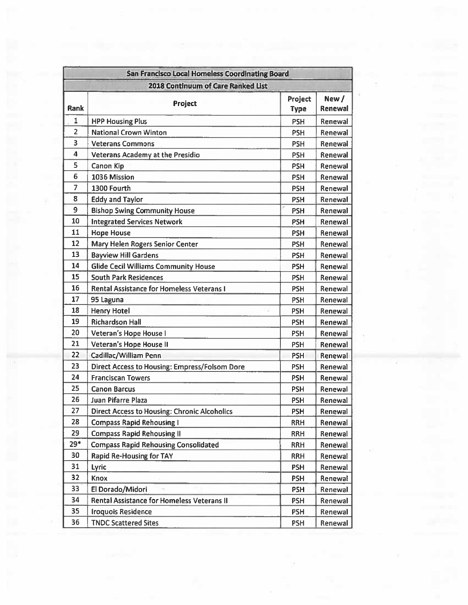|                | <b>San Francisco Local Homeless Coordinating Board</b> |                        |                  |
|----------------|--------------------------------------------------------|------------------------|------------------|
|                | 2018 Continuum of Care Ranked List                     |                        |                  |
| <b>Rank</b>    | Project                                                | Project<br><b>Type</b> | New /<br>Renewal |
| $\mathbf{1}$   | <b>HPP Housing Plus</b>                                | <b>PSH</b>             | Renewal          |
| $\overline{2}$ | <b>National Crown Winton</b>                           | <b>PSH</b>             | Renewal          |
| 3              | <b>Veterans Commons</b>                                | <b>PSH</b>             | Renewal          |
| 4              | <b>Veterans Academy at the Presidio</b>                | <b>PSH</b>             | Renewal          |
| 5              | Canon Kip                                              | <b>PSH</b>             | Renewal          |
| 6              | 1036 Mission                                           | <b>PSH</b>             | Renewal          |
| $\overline{7}$ | 1300 Fourth                                            | <b>PSH</b>             | Renewal          |
| 8              | <b>Eddy and Taylor</b>                                 | <b>PSH</b>             | Renewal          |
| 9              | <b>Bishop Swing Community House</b>                    | <b>PSH</b>             | Renewal          |
| 10             | <b>Integrated Services Network</b>                     | <b>PSH</b>             | Renewal          |
| 11             | <b>Hope House</b>                                      | <b>PSH</b>             | Renewal          |
| 12             | Mary Helen Rogers Senior Center                        | <b>PSH</b>             | Renewal          |
| 13             | <b>Bayview Hill Gardens</b>                            | <b>PSH</b>             | Renewal          |
| 14             | <b>Glide Cecil Williams Community House</b>            | <b>PSH</b>             | Renewal          |
| 15             | <b>South Park Residences</b>                           | <b>PSH</b>             | Renewal          |
| 16             | <b>Rental Assistance for Homeless Veterans I</b>       | <b>PSH</b>             | Renewal          |
| 17             | 95 Laguna                                              | <b>PSH</b>             | Renewal          |
| 18             | <b>Henry Hotel</b>                                     | <b>PSH</b>             | Renewal          |
| 19             | <b>Richardson Hall</b>                                 | <b>PSH</b>             | Renewal          |
| 20             | Veteran's Hope House I                                 | <b>PSH</b>             | Renewal          |
| 21             | Veteran's Hope House II                                | <b>PSH</b>             | Renewal          |
| 22             | Cadillac/William Penn                                  | <b>PSH</b>             | Renewal          |
| 23             | Direct Access to Housing: Empress/Folsom Dore          | <b>PSH</b>             | Renewal          |
| 24             | <b>Franciscan Towers</b>                               | <b>PSH</b>             | Renewal          |
| 25             | <b>Canon Barcus</b>                                    | <b>PSH</b>             | Renewal          |
| 26             | Juan Pifarre Plaza                                     | <b>PSH</b>             | Renewal          |
| 27             | <b>Direct Access to Housing: Chronic Alcoholics</b>    | <b>PSH</b>             | Renewal          |
| 28             | <b>Compass Rapid Rehousing I</b>                       | <b>RRH</b>             | Renewal          |
| 29             | <b>Compass Rapid Rehousing II</b>                      | <b>RRH</b>             | Renewal          |
| $29*$          | <b>Compass Rapid Rehousing Consolidated</b>            | <b>RRH</b>             | Renewal          |
| 30             | <b>Rapid Re-Housing for TAY</b>                        | <b>RRH</b>             | Renewal          |
| 31             | <b>Lyric</b>                                           | <b>PSH</b>             | Renewal          |
| 32             | Knox                                                   | <b>PSH</b>             | Renewal          |
| 33             | El Dorado/Midori                                       | <b>PSH</b>             | Renewal          |
| 34             | <b>Rental Assistance for Homeless Veterans II</b>      | <b>PSH</b>             | Renewal          |
| 35             | <b>Iroquois Residence</b>                              | <b>PSH</b>             | Renewal          |
| 36             | <b>TNDC Scattered Sites</b>                            | PSH                    | Renewal          |

 $\Omega$  is

and the series of the state of the series of

 $\sim$ 

 $\vec{E}$ 

 $\bar{\alpha}$ 

 $\mathcal{L}$